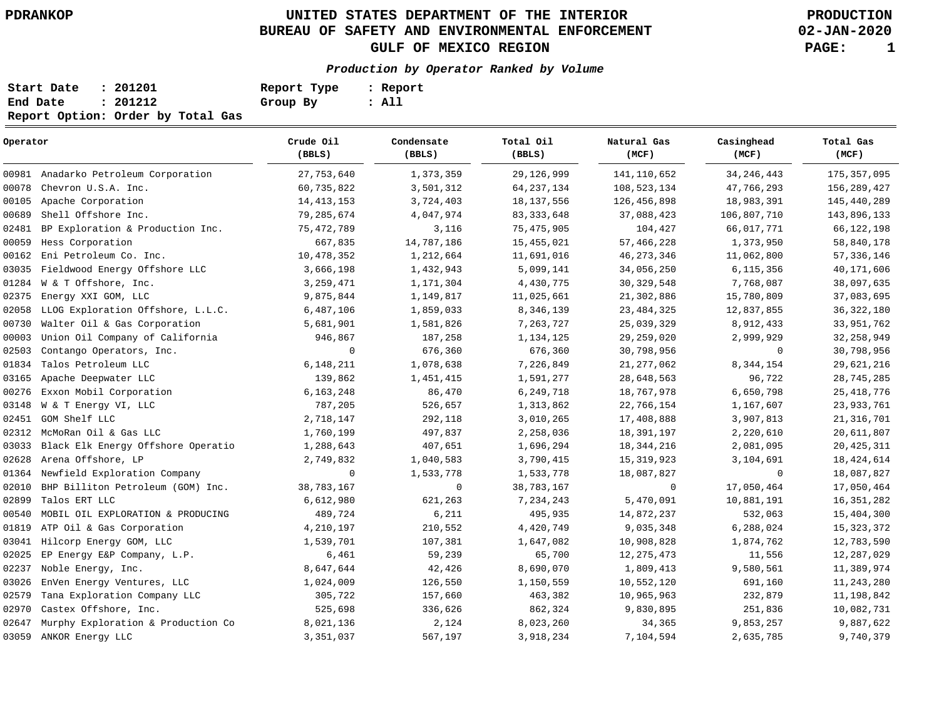# **UNITED STATES DEPARTMENT OF THE INTERIOR PDRANKOP PRODUCTION BUREAU OF SAFETY AND ENVIRONMENTAL ENFORCEMENT GULF OF MEXICO REGION PAGE: 1**

**02-JAN-2020**

## **Production by Operator Ranked by Volume**

| Start Date | : 201201                          | Report Type | : Report |
|------------|-----------------------------------|-------------|----------|
| End Date   | : 201212                          | Group By    | : All    |
|            | Report Option: Order by Total Gas |             |          |

| Operator |                                      | Crude Oil<br>(BBLS) | Condensate<br>(BBLS) | Total Oil<br>(BBLS) | Natural Gas<br>(MCF) | Casinghead<br>(MCF) | Total Gas<br>(MCF) |
|----------|--------------------------------------|---------------------|----------------------|---------------------|----------------------|---------------------|--------------------|
|          | 00981 Anadarko Petroleum Corporation | 27,753,640          | 1,373,359            | 29,126,999          | 141, 110, 652        | 34, 246, 443        | 175, 357, 095      |
| 00078    | Chevron U.S.A. Inc.                  | 60,735,822          | 3,501,312            | 64, 237, 134        | 108,523,134          | 47,766,293          | 156,289,427        |
| 00105    | Apache Corporation                   | 14, 413, 153        | 3,724,403            | 18, 137, 556        | 126,456,898          | 18,983,391          | 145,440,289        |
| 00689    | Shell Offshore Inc.                  | 79,285,674          | 4,047,974            | 83, 333, 648        | 37,088,423           | 106,807,710         | 143,896,133        |
| 02481    | BP Exploration & Production Inc.     | 75,472,789          | 3,116                | 75,475,905          | 104,427              | 66,017,771          | 66, 122, 198       |
| 00059    | Hess Corporation                     | 667,835             | 14,787,186           | 15,455,021          | 57, 466, 228         | 1,373,950           | 58,840,178         |
| 00162    | Eni Petroleum Co. Inc.               | 10,478,352          | 1,212,664            | 11,691,016          | 46, 273, 346         | 11,062,800          | 57, 336, 146       |
| 03035    | Fieldwood Energy Offshore LLC        | 3,666,198           | 1,432,943            | 5,099,141           | 34,056,250           | 6,115,356           | 40,171,606         |
| 01284    | W & T Offshore, Inc.                 | 3,259,471           | 1,171,304            | 4,430,775           | 30, 329, 548         | 7,768,087           | 38,097,635         |
| 02375    | Energy XXI GOM, LLC                  | 9,875,844           | 1,149,817            | 11,025,661          | 21,302,886           | 15,780,809          | 37,083,695         |
| 02058    | LLOG Exploration Offshore, L.L.C.    | 6,487,106           | 1,859,033            | 8,346,139           | 23, 484, 325         | 12,837,855          | 36, 322, 180       |
| 00730    | Walter Oil & Gas Corporation         | 5,681,901           | 1,581,826            | 7,263,727           | 25,039,329           | 8,912,433           | 33,951,762         |
| 00003    | Union Oil Company of California      | 946,867             | 187,258              | 1,134,125           | 29, 259, 020         | 2,999,929           | 32, 258, 949       |
| 02503    | Contango Operators, Inc.             | $\mathsf{O}$        | 676,360              | 676,360             | 30,798,956           | 0                   | 30,798,956         |
| 01834    | Talos Petroleum LLC                  | 6,148,211           | 1,078,638            | 7,226,849           | 21, 277, 062         | 8,344,154           | 29,621,216         |
| 03165    | Apache Deepwater LLC                 | 139,862             | 1,451,415            | 1,591,277           | 28,648,563           | 96,722              | 28, 745, 285       |
| 00276    | Exxon Mobil Corporation              | 6,163,248           | 86,470               | 6,249,718           | 18,767,978           | 6,650,798           | 25, 418, 776       |
| 03148    | W & T Energy VI, LLC                 | 787,205             | 526,657              | 1,313,862           | 22,766,154           | 1,167,607           | 23, 933, 761       |
| 02451    | GOM Shelf LLC                        | 2,718,147           | 292,118              | 3,010,265           | 17,408,888           | 3,907,813           | 21, 316, 701       |
| 02312    | McMoRan Oil & Gas LLC                | 1,760,199           | 497,837              | 2,258,036           | 18,391,197           | 2,220,610           | 20,611,807         |
| 03033    | Black Elk Energy Offshore Operatio   | 1,288,643           | 407,651              | 1,696,294           | 18, 344, 216         | 2,081,095           | 20, 425, 311       |
| 02628    | Arena Offshore, LP                   | 2,749,832           | 1,040,583            | 3,790,415           | 15, 319, 923         | 3,104,691           | 18,424,614         |
| 01364    | Newfield Exploration Company         | $\mathbf 0$         | 1,533,778            | 1,533,778           | 18,087,827           | 0                   | 18,087,827         |
| 02010    | BHP Billiton Petroleum (GOM) Inc.    | 38,783,167          | $\mathbf 0$          | 38,783,167          | $\mathbf 0$          | 17,050,464          | 17,050,464         |
| 02899    | Talos ERT LLC                        | 6,612,980           | 621,263              | 7,234,243           | 5,470,091            | 10,881,191          | 16, 351, 282       |
| 00540    | MOBIL OIL EXPLORATION & PRODUCING    | 489,724             | 6,211                | 495,935             | 14,872,237           | 532,063             | 15,404,300         |
| 01819    | ATP Oil & Gas Corporation            | 4,210,197           | 210,552              | 4,420,749           | 9,035,348            | 6,288,024           | 15, 323, 372       |
| 03041    | Hilcorp Energy GOM, LLC              | 1,539,701           | 107,381              | 1,647,082           | 10,908,828           | 1,874,762           | 12,783,590         |
| 02025    | EP Energy E&P Company, L.P.          | 6,461               | 59,239               | 65,700              | 12, 275, 473         | 11,556              | 12,287,029         |
| 02237    | Noble Energy, Inc.                   | 8,647,644           | 42,426               | 8,690,070           | 1,809,413            | 9,580,561           | 11,389,974         |
| 03026    | EnVen Energy Ventures, LLC           | 1,024,009           | 126,550              | 1,150,559           | 10,552,120           | 691,160             | 11, 243, 280       |
| 02579    | Tana Exploration Company LLC         | 305,722             | 157,660              | 463,382             | 10,965,963           | 232,879             | 11,198,842         |
| 02970    | Castex Offshore, Inc.                | 525,698             | 336,626              | 862,324             | 9,830,895            | 251,836             | 10,082,731         |
| 02647    | Murphy Exploration & Production Co   | 8,021,136           | 2,124                | 8,023,260           | 34,365               | 9,853,257           | 9,887,622          |
|          | 03059 ANKOR Energy LLC               | 3,351,037           | 567,197              | 3,918,234           | 7,104,594            | 2,635,785           | 9,740,379          |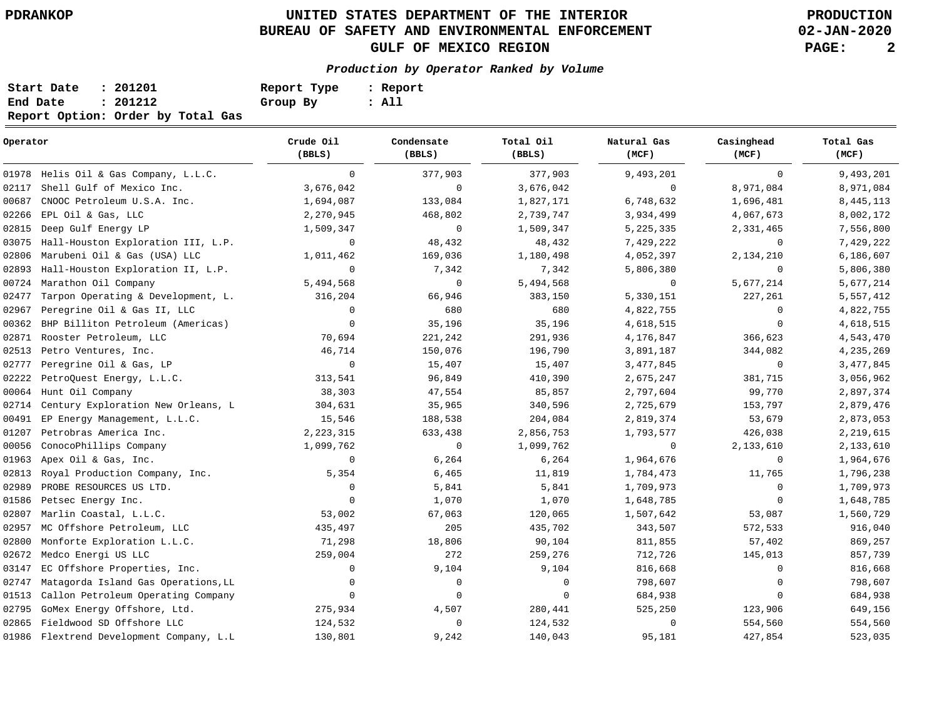# **UNITED STATES DEPARTMENT OF THE INTERIOR PDRANKOP PRODUCTION BUREAU OF SAFETY AND ENVIRONMENTAL ENFORCEMENT GULF OF MEXICO REGION PAGE: 2**

**02-JAN-2020**

## **Production by Operator Ranked by Volume**

| Start Date | : 201201                          | Report Type | : Report |
|------------|-----------------------------------|-------------|----------|
| End Date   | : 201212                          | Group By    | : All    |
|            | Report Option: Order by Total Gas |             |          |

| Operator |                                          | Crude Oil<br>(BBLS) | Condensate<br>(BBLS) | Total Oil<br>(BBLS) | Natural Gas<br>(MCF) | Casinghead<br>(MCF) | Total Gas<br>(MCF) |
|----------|------------------------------------------|---------------------|----------------------|---------------------|----------------------|---------------------|--------------------|
|          | 01978 Helis Oil & Gas Company, L.L.C.    | $\mathbf 0$         | 377,903              | 377,903             | 9,493,201            | $\mathbf 0$         | 9,493,201          |
| 02117    | Shell Gulf of Mexico Inc.                | 3,676,042           | $\mathbf 0$          | 3,676,042           | $\mathbf 0$          | 8,971,084           | 8,971,084          |
| 00687    | CNOOC Petroleum U.S.A. Inc.              | 1,694,087           | 133,084              | 1,827,171           | 6,748,632            | 1,696,481           | 8, 445, 113        |
| 02266    | EPL Oil & Gas, LLC                       | 2,270,945           | 468,802              | 2,739,747           | 3,934,499            | 4,067,673           | 8,002,172          |
| 02815    | Deep Gulf Energy LP                      | 1,509,347           | 0                    | 1,509,347           | 5, 225, 335          | 2,331,465           | 7,556,800          |
| 03075    | Hall-Houston Exploration III, L.P.       | $\mathbf 0$         | 48,432               | 48,432              | 7,429,222            | $\mathbf 0$         | 7,429,222          |
| 02806    | Marubeni Oil & Gas (USA) LLC             | 1,011,462           | 169,036              | 1,180,498           | 4,052,397            | 2,134,210           | 6,186,607          |
| 02893    | Hall-Houston Exploration II, L.P.        | $\mathbf 0$         | 7,342                | 7,342               | 5,806,380            | $\mathbf 0$         | 5,806,380          |
| 00724    | Marathon Oil Company                     | 5,494,568           | 0                    | 5,494,568           | $\mathbf 0$          | 5,677,214           | 5,677,214          |
| 02477    | Tarpon Operating & Development, L.       | 316,204             | 66,946               | 383,150             | 5,330,151            | 227,261             | 5,557,412          |
| 02967    | Peregrine Oil & Gas II, LLC              | 0                   | 680                  | 680                 | 4,822,755            | 0                   | 4,822,755          |
| 00362    | BHP Billiton Petroleum (Americas)        | $\mathbf{0}$        | 35,196               | 35,196              | 4,618,515            | $\mathbf 0$         | 4,618,515          |
| 02871    | Rooster Petroleum, LLC                   | 70,694              | 221,242              | 291,936             | 4,176,847            | 366,623             | 4,543,470          |
| 02513    | Petro Ventures, Inc.                     | 46,714              | 150,076              | 196,790             | 3,891,187            | 344,082             | 4,235,269          |
| 02777    | Peregrine Oil & Gas, LP                  | $\mathbf 0$         | 15,407               | 15,407              | 3,477,845            | 0                   | 3,477,845          |
| 02222    | PetroQuest Energy, L.L.C.                | 313,541             | 96,849               | 410,390             | 2,675,247            | 381,715             | 3,056,962          |
| 00064    | Hunt Oil Company                         | 38,303              | 47,554               | 85,857              | 2,797,604            | 99,770              | 2,897,374          |
| 02714    | Century Exploration New Orleans, L       | 304,631             | 35,965               | 340,596             | 2,725,679            | 153,797             | 2,879,476          |
| 00491    | EP Energy Management, L.L.C.             | 15,546              | 188,538              | 204,084             | 2,819,374            | 53,679              | 2,873,053          |
| 01207    | Petrobras America Inc.                   | 2, 223, 315         | 633,438              | 2,856,753           | 1,793,577            | 426,038             | 2,219,615          |
| 00056    | ConocoPhillips Company                   | 1,099,762           | $\mathsf{O}$         | 1,099,762           | 0                    | 2,133,610           | 2,133,610          |
| 01963    | Apex Oil & Gas, Inc.                     | 0                   | 6,264                | 6,264               | 1,964,676            | $\mathbf 0$         | 1,964,676          |
| 02813    | Royal Production Company, Inc.           | 5,354               | 6,465                | 11,819              | 1,784,473            | 11,765              | 1,796,238          |
| 02989    | PROBE RESOURCES US LTD.                  | 0                   | 5,841                | 5,841               | 1,709,973            | $\mathbf 0$         | 1,709,973          |
| 01586    | Petsec Energy Inc.                       | 0                   | 1,070                | 1,070               | 1,648,785            | 0                   | 1,648,785          |
| 02807    | Marlin Coastal, L.L.C.                   | 53,002              | 67,063               | 120,065             | 1,507,642            | 53,087              | 1,560,729          |
| 02957    | MC Offshore Petroleum, LLC               | 435,497             | 205                  | 435,702             | 343,507              | 572,533             | 916,040            |
| 02800    | Monforte Exploration L.L.C.              | 71,298              | 18,806               | 90,104              | 811,855              | 57,402              | 869,257            |
| 02672    | Medco Energi US LLC                      | 259,004             | 272                  | 259,276             | 712,726              | 145,013             | 857,739            |
| 03147    | EC Offshore Properties, Inc.             | 0                   | 9,104                | 9,104               | 816,668              | $\mathbf 0$         | 816,668            |
| 02747    | Matagorda Island Gas Operations, LL      | 0                   | 0                    | 0                   | 798,607              | $\mathbf 0$         | 798,607            |
| 01513    | Callon Petroleum Operating Company       | $\mathbf 0$         | $\mathbf 0$          | $\mathbf 0$         | 684,938              | $\Omega$            | 684,938            |
| 02795    | GoMex Energy Offshore, Ltd.              | 275,934             | 4,507                | 280,441             | 525,250              | 123,906             | 649,156            |
| 02865    | Fieldwood SD Offshore LLC                | 124,532             | $\mathbf 0$          | 124,532             | $\mathbf 0$          | 554,560             | 554,560            |
|          | 01986 Flextrend Development Company, L.L | 130,801             | 9,242                | 140,043             | 95,181               | 427,854             | 523,035            |